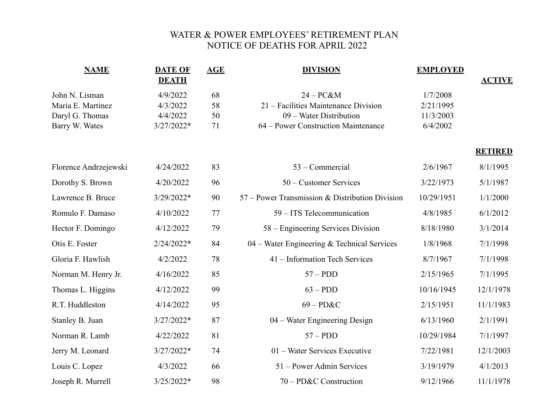## WATER & POWER EMPLOYEES' RETIREMENT PLAN NOTICE OF DEATHS FOR APRIL 2022

| <b>NAME</b>           | <b>DATE OF</b><br><b>DEATH</b> | <b>AGE</b> | <b>DIVISION</b>                                 | <b>EMPLOYED</b> | <b>ACTIVE</b>  |
|-----------------------|--------------------------------|------------|-------------------------------------------------|-----------------|----------------|
| John N. Lisman        | 4/9/2022                       | 68         | $24 - PC&M$                                     | 1/7/2008        |                |
| Maria E. Martinez     | 4/3/2022                       | 58         | 21 – Facilities Maintenance Division            | 2/21/1995       |                |
| Daryl G. Thomas       | 4/4/2022                       | 50         | 09 – Water Distribution                         | 11/3/2003       |                |
| Barry W. Wates        | 3/27/2022*                     | 71         | 64 – Power Construction Maintenance             | 6/4/2002        |                |
|                       |                                |            |                                                 |                 | <b>RETIRED</b> |
| Florence Andrzejewski | 4/24/2022                      | 83         | 53 - Commercial                                 | 2/6/1967        | 8/1/1995       |
| Dorothy S. Brown      | 4/20/2022                      | 96         | 50 – Customer Services                          | 3/22/1973       | 5/1/1987       |
| Lawrence B. Bruce     | 3/29/2022*                     | 90         | 57 – Power Transmission & Distribution Division | 10/29/1951      | 1/1/2000       |
| Romulo F. Damaso      | 4/10/2022                      | 77         | 59 – ITS Telecommunication                      | 4/8/1985        | 6/1/2012       |
| Hector F. Domingo     | 4/12/2022                      | 79         | 58 – Engineering Services Division              | 8/18/1980       | 3/1/2014       |
| Otis E. Foster        | 2/24/2022*                     | 84         | 04 – Water Engineering & Technical Services     | 1/8/1968        | 7/1/1998       |
| Gloria F. Hawlish     | 4/2/2022                       | 78         | 41 – Information Tech Services                  | 8/7/1967        | 7/1/1998       |
| Norman M. Henry Jr.   | 4/16/2022                      | 85         | $57 - PDD$                                      | 2/15/1965       | 7/1/1995       |
| Thomas L. Higgins     | 4/12/2022                      | 99         | $63 - PDD$                                      | 10/16/1945      | 12/1/1978      |
| R.T. Huddleston       | 4/14/2022                      | 95         | $69 - P D & C$                                  | 2/15/1951       | 11/1/1983      |
| Stanley B. Juan       | 3/27/2022*                     | 87         | 04 – Water Engineering Design                   | 6/13/1960       | 2/1/1991       |
| Norman R. Lamb        | 4/22/2022                      | 81         | $57 - PDD$                                      | 10/29/1984      | 7/1/1997       |
| Jerry M. Leonard      | 3/27/2022*                     | 74         | 01 – Water Services Executive                   | 7/22/1981       | 12/1/2003      |
| Louis C. Lopez        | 4/3/2022                       | 66         | 51 – Power Admin Services                       | 3/19/1979       | 4/1/2013       |
| Joseph R. Murrell     | $3/25/2022*$                   | 98         | 70 – PD&C Construction                          | 9/12/1966       | 11/1/1978      |